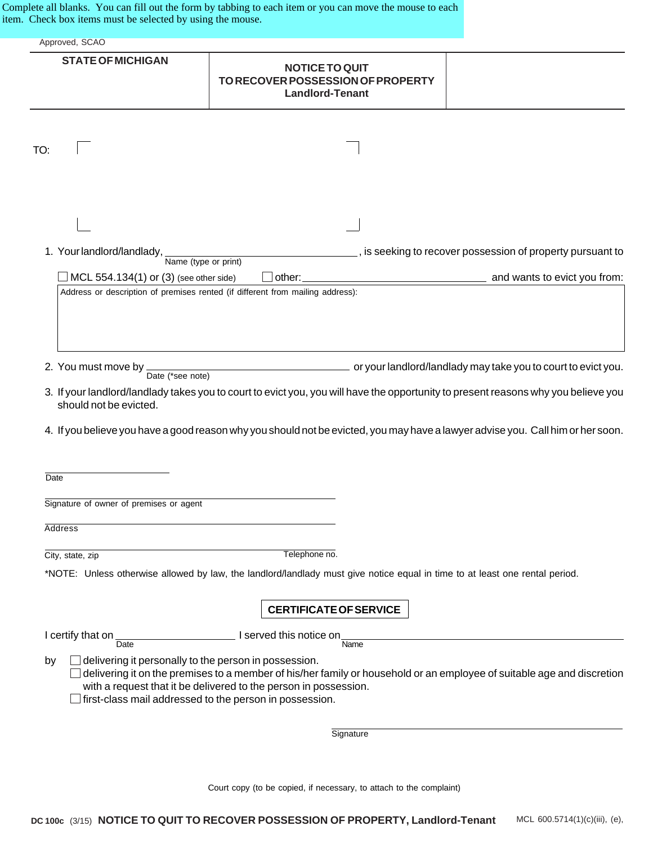Complete all blanks. You can fill out the form by tabbing to each item or you can move the mouse to each item. Check box items must be selected by using the mouse.

| Approved, SCAO                                                                                                         |                                                                                                                                                                                                                                                                       |                                                                |
|------------------------------------------------------------------------------------------------------------------------|-----------------------------------------------------------------------------------------------------------------------------------------------------------------------------------------------------------------------------------------------------------------------|----------------------------------------------------------------|
|                                                                                                                        |                                                                                                                                                                                                                                                                       |                                                                |
| <b>STATE OF MICHIGAN</b>                                                                                               | <b>NOTICE TO QUIT</b><br>TO RECOVER POSSESSION OF PROPERTY<br><b>Landlord-Tenant</b>                                                                                                                                                                                  |                                                                |
|                                                                                                                        |                                                                                                                                                                                                                                                                       |                                                                |
| TO:                                                                                                                    |                                                                                                                                                                                                                                                                       |                                                                |
|                                                                                                                        |                                                                                                                                                                                                                                                                       |                                                                |
|                                                                                                                        |                                                                                                                                                                                                                                                                       |                                                                |
| 1. Your landlord/landlady,<br>Name (type or print)                                                                     |                                                                                                                                                                                                                                                                       | ____, is seeking to recover possession of property pursuant to |
| MCL 554.134(1) or (3) (see other side)                                                                                 | other:                                                                                                                                                                                                                                                                | and wants to evict you from:                                   |
| 2. You must move by<br>Date (*see note)                                                                                | or your landlord/landlady may take you to court to evict you.                                                                                                                                                                                                         |                                                                |
| should not be evicted.                                                                                                 | 3. If your landlord/landlady takes you to court to evict you, you will have the opportunity to present reasons why you believe you<br>4. If you believe you have a good reason why you should not be evicted, you may have a lawyer advise you. Call him or her soon. |                                                                |
| <b>Date</b>                                                                                                            |                                                                                                                                                                                                                                                                       |                                                                |
| Signature of owner of premises or agent                                                                                |                                                                                                                                                                                                                                                                       |                                                                |
| <b>Address</b>                                                                                                         |                                                                                                                                                                                                                                                                       |                                                                |
| City, state, zip                                                                                                       | Telephone no.                                                                                                                                                                                                                                                         |                                                                |
|                                                                                                                        | *NOTE: Unless otherwise allowed by law, the landlord/landlady must give notice equal in time to at least one rental period.                                                                                                                                           |                                                                |
|                                                                                                                        | <b>CERTIFICATE OF SERVICE</b>                                                                                                                                                                                                                                         |                                                                |
| I certify that on $\frac{1}{\text{Date}}$                                                                              | I served this notice on                                                                                                                                                                                                                                               |                                                                |
| delivering it personally to the person in possession.<br>by<br>first-class mail addressed to the person in possession. | Name<br>delivering it on the premises to a member of his/her family or household or an employee of suitable age and discretion<br>with a request that it be delivered to the person in possession.                                                                    |                                                                |
|                                                                                                                        | Signature                                                                                                                                                                                                                                                             |                                                                |

Court copy (to be copied, if necessary, to attach to the complaint)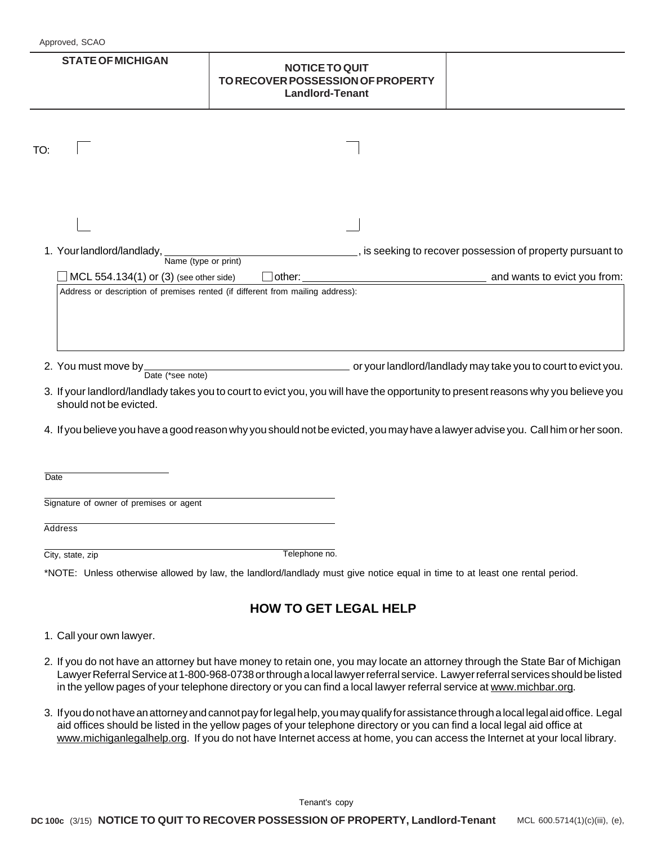| <b>STATE OF MICHIGAN</b>                                                                  | <b>NOTICE TO QUIT</b><br>TO RECOVER POSSESSION OF PROPERTY<br><b>Landlord-Tenant</b>                                               |                                                                                            |
|-------------------------------------------------------------------------------------------|------------------------------------------------------------------------------------------------------------------------------------|--------------------------------------------------------------------------------------------|
| TO:                                                                                       |                                                                                                                                    |                                                                                            |
|                                                                                           |                                                                                                                                    |                                                                                            |
| 1. Your landlord/landlady, Name (type or print)<br>MCL 554.134(1) or (3) (see other side) | other:                                                                                                                             | s is seeking to recover possession of property pursuant to<br>and wants to evict you from: |
| 2. You must move by $\frac{1}{\text{Date}}$ (*see note)                                   | or your landlord/landlady may take you to court to evict you.                                                                      |                                                                                            |
| should not be evicted.                                                                    | 3. If your landlord/landlady takes you to court to evict you, you will have the opportunity to present reasons why you believe you |                                                                                            |
|                                                                                           | 4. If you believe you have a good reason why you should not be evicted, you may have a lawyer advise you. Call him or her soon.    |                                                                                            |
| <b>Date</b>                                                                               |                                                                                                                                    |                                                                                            |
| Signature of owner of premises or agent                                                   |                                                                                                                                    |                                                                                            |
| Address                                                                                   |                                                                                                                                    |                                                                                            |
| City, state, zip                                                                          | Telephone no.                                                                                                                      |                                                                                            |
|                                                                                           | *NOTE: Unless otherwise allowed by law, the landlord/landlady must give notice equal in time to at least one rental period.        |                                                                                            |
|                                                                                           | <b>HOW TO GET LEGAL HELP</b>                                                                                                       |                                                                                            |
| 1. Call your own lawyer.                                                                  |                                                                                                                                    |                                                                                            |

- 2. If you do not have an attorney but have money to retain one, you may locate an attorney through the State Bar of Michigan Lawyer Referral Service at 1-800-968-0738 or through a local lawyer referral service. Lawyer referral services should be listed in the yellow pages of your telephone directory or you can find a local lawyer referral service at www.michbar.org.
- 3. If you do not have an attorney and cannot pay for legal help, you may qualify for assistance through a local legal aid office. Legal aid offices should be listed in the yellow pages of your telephone directory or you can find a local legal aid office at www.michiganlegalhelp.org. If you do not have Internet access at home, you can access the Internet at your local library.